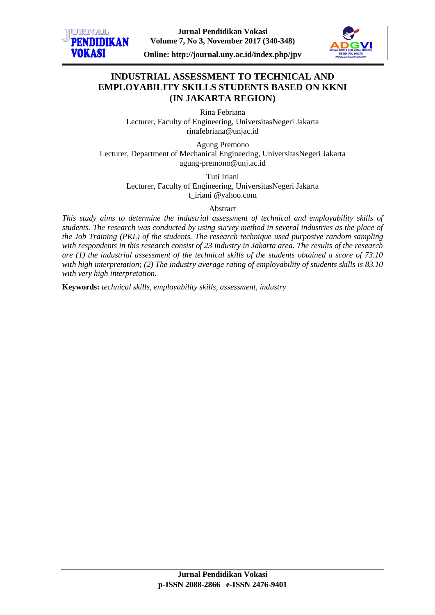**Jurnal Pendidikan Vokasi Volume 7, No 3, November 2017 (340-348)**

URNAL **PENDIDIKAN** 

**VOKASI** 

**Online: http://journal.uny.ac.id/index.php/jpv**



# **INDUSTRIAL ASSESSMENT TO TECHNICAL AND EMPLOYABILITY SKILLS STUDENTS BASED ON KKNI (IN JAKARTA REGION)**

Rina Febriana Lecturer, Faculty of Engineering, UniversitasNegeri Jakarta rinafebriana@unjac.id

Agung Premono Lecturer, Department of Mechanical Engineering, UniversitasNegeri Jakarta agung-premono@unj.ac.id

> Tuti Iriani Lecturer, Faculty of Engineering, UniversitasNegeri Jakarta t\_iriani @yahoo.com

#### Abstract

*This study aims to determine the industrial assessment of technical and employability skills of students. The research was conducted by using survey method in several industries as the place of the Job Training (PKL) of the students. The research technique used purposive random sampling with respondents in this research consist of 23 industry in Jakarta area. The results of the research are (1) the industrial assessment of the technical skills of the students obtained a score of 73.10 with high interpretation; (2) The industry average rating of employability of students skills is 83.10 with very high interpretation.*

**Keywords:** *technical skills, employability skills, assessment, industry*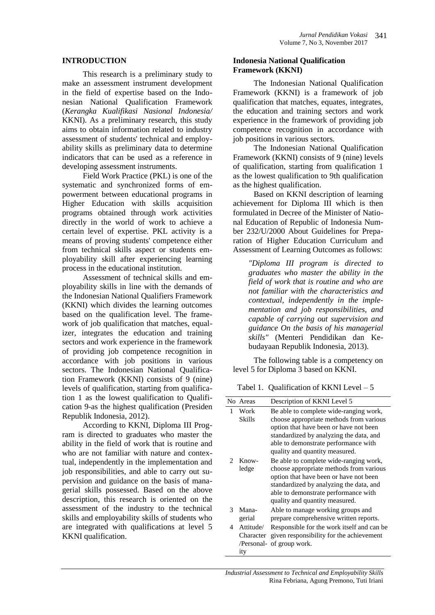#### **INTRODUCTION**

This research is a preliminary study to make an assessment instrument development in the field of expertise based on the Indonesian National Qualification Framework (*Kerangka Kualifikasi Nasional Indonesia/* KKNI). As a preliminary research, this study aims to obtain information related to industry assessment of students' technical and employability skills as preliminary data to determine indicators that can be used as a reference in developing assessment instruments.

Field Work Practice (PKL) is one of the systematic and synchronized forms of empowerment between educational programs in Higher Education with skills acquisition programs obtained through work activities directly in the world of work to achieve a certain level of expertise. PKL activity is a means of proving students' competence either from technical skills aspect or students employability skill after experiencing learning process in the educational institution.

Assessment of technical skills and employability skills in line with the demands of the Indonesian National Qualifiers Framework (KKNI) which divides the learning outcomes based on the qualification level. The framework of job qualification that matches, equalizer, integrates the education and training sectors and work experience in the framework of providing job competence recognition in accordance with job positions in various sectors. The Indonesian National Qualification Framework (KKNI) consists of 9 (nine) levels of qualification, starting from qualification 1 as the lowest qualification to Qualification 9-as the highest qualification (Presiden Republik Indonesia, 2012).

According to KKNI, Diploma III Program is directed to graduates who master the ability in the field of work that is routine and who are not familiar with nature and contextual, independently in the implementation and job responsibilities, and able to carry out supervision and guidance on the basis of managerial skills possessed. Based on the above description, this research is oriented on the assessment of the industry to the technical skills and employability skills of students who are integrated with qualifications at level 5 KKNI qualification.

#### **Indonesia National Qualification Framework (KKNI)**

The Indonesian National Qualification Framework (KKNI) is a framework of job qualification that matches, equates, integrates, the education and training sectors and work experience in the framework of providing job competence recognition in accordance with job positions in various sectors.

The Indonesian National Qualification Framework (KKNI) consists of 9 (nine) levels of qualification, starting from qualification 1 as the lowest qualification to 9th qualification as the highest qualification.

Based on KKNI description of learning achievement for Diploma III which is then formulated in Decree of the Minister of National Education of Republic of Indonesia Number 232/U/2000 About Guidelines for Preparation of Higher Education Curriculum and Assessment of Learning Outcomes as follows:

*"Diploma III program is directed to graduates who master the ability in the field of work that is routine and who are not familiar with the characteristics and contextual, independently in the implementation and job responsibilities, and capable of carrying out supervision and guidance On the basis of his managerial skills"* (Menteri Pendidikan dan Kebudayaan Republik Indonesia, 2013)*.*

The following table is a competency on level 5 for Diploma 3 based on KKNI.

Tabel 1. Qualification of KKNI Level  $-5$ 

|                | No Areas                      | Description of KKNI Level 5                                                                                                                                                                                                                      |  |  |
|----------------|-------------------------------|--------------------------------------------------------------------------------------------------------------------------------------------------------------------------------------------------------------------------------------------------|--|--|
| 1              | Work<br>Skills                | Be able to complete wide-ranging work,<br>choose appropriate methods from various<br>option that have been or have not been<br>standardized by analyzing the data, and<br>able to demonstrate performance with<br>quality and quantity measured. |  |  |
| $\mathfrak{D}$ | $Know-$<br>ledge              | Be able to complete wide-ranging work,<br>choose appropriate methods from various<br>option that have been or have not been<br>standardized by analyzing the data, and<br>able to demonstrate performance with<br>quality and quantity measured. |  |  |
| 3              | Mana-<br>gerial               | Able to manage working groups and<br>prepare comprehensive written reports.                                                                                                                                                                      |  |  |
| 4              | Attitude/<br>Character<br>ity | Responsible for the work itself and can be.<br>given responsibility for the achievement<br>/Personal- of group work.                                                                                                                             |  |  |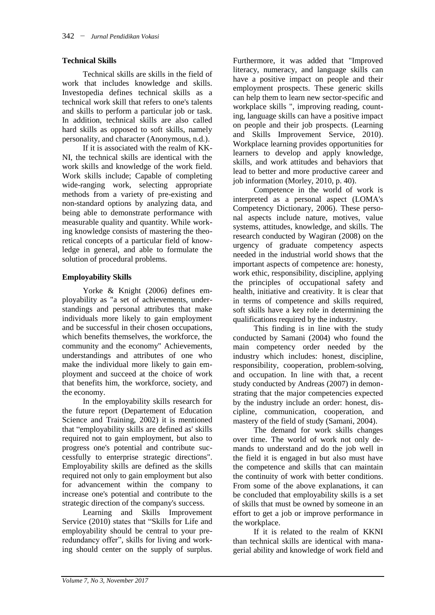## **Technical Skills**

Technical skills are skills in the field of work that includes knowledge and skills. Investopedia defines technical skills as a technical work skill that refers to one's talents and skills to perform a particular job or task. In addition, technical skills are also called hard skills as opposed to soft skills, namely personality, and character (Anonymous, n.d.).

If it is associated with the realm of KK-NI, the technical skills are identical with the work skills and knowledge of the work field. Work skills include; Capable of completing wide-ranging work, selecting appropriate methods from a variety of pre-existing and non-standard options by analyzing data, and being able to demonstrate performance with measurable quality and quantity. While working knowledge consists of mastering the theoretical concepts of a particular field of knowledge in general, and able to formulate the solution of procedural problems.

## **Employability Skills**

Yorke & Knight (2006) defines employability as "a set of achievements, understandings and personal attributes that make individuals more likely to gain employment and be successful in their chosen occupations, which benefits themselves, the workforce, the community and the economy" Achievements, understandings and attributes of one who make the individual more likely to gain employment and succeed at the choice of work that benefits him, the workforce, society, and the economy.

In the employability skills research for the future report (Departement of Education Science and Training, 2002) it is mentioned that "employability skills are defined as' skills required not to gain employment, but also to progress one's potential and contribute successfully to enterprise strategic directions". Employability skills are defined as the skills required not only to gain employment but also for advancement within the company to increase one's potential and contribute to the strategic direction of the company's success.

Learning and Skills Improvement Service (2010) states that "Skills for Life and employability should be central to your preredundancy offer", skills for living and working should center on the supply of surplus.

Furthermore, it was added that "Improved literacy, numeracy, and language skills can have a positive impact on people and their employment prospects. These generic skills can help them to learn new sector-specific and workplace skills ", improving reading, counting, language skills can have a positive impact on people and their job prospects. (Learning and Skills Improvement Service, 2010). Workplace learning provides opportunities for learners to develop and apply knowledge, skills, and work attitudes and behaviors that lead to better and more productive career and job information (Morley, 2010, p. 40).

Competence in the world of work is interpreted as a personal aspect (LOMA's Competency Dictionary, 2006). These personal aspects include nature, motives, value systems, attitudes, knowledge, and skills. The research conducted by Wagiran (2008) on the urgency of graduate competency aspects needed in the industrial world shows that the important aspects of competence are: honesty, work ethic, responsibility, discipline, applying the principles of occupational safety and health, initiative and creativity. It is clear that in terms of competence and skills required, soft skills have a key role in determining the qualifications required by the industry.

This finding is in line with the study conducted by Samani (2004) who found the main competency order needed by the industry which includes: honest, discipline, responsibility, cooperation, problem-solving, and occupation. In line with that, a recent study conducted by Andreas (2007) in demonstrating that the major competencies expected by the industry include an order: honest, discipline, communication, cooperation, and mastery of the field of study (Samani, 2004).

The demand for work skills changes over time. The world of work not only demands to understand and do the job well in the field it is engaged in but also must have the competence and skills that can maintain the continuity of work with better conditions. From some of the above explanations, it can be concluded that employability skills is a set of skills that must be owned by someone in an effort to get a job or improve performance in the workplace.

If it is related to the realm of KKNI than technical skills are identical with managerial ability and knowledge of work field and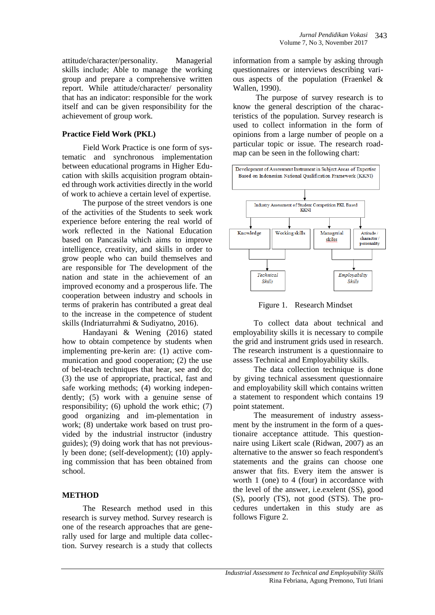attitude/character/personality. Managerial skills include; Able to manage the working group and prepare a comprehensive written report. While attitude/character/ personality that has an indicator: responsible for the work itself and can be given responsibility for the achievement of group work.

## **Practice Field Work (PKL)**

Field Work Practice is one form of systematic and synchronous implementation between educational programs in Higher Education with skills acquisition program obtained through work activities directly in the world of work to achieve a certain level of expertise.

The purpose of the street vendors is one of the activities of the Students to seek work experience before entering the real world of work reflected in the National Education based on Pancasila which aims to improve intelligence, creativity, and skills in order to grow people who can build themselves and are responsible for The development of the nation and state in the achievement of an improved economy and a prosperous life. The cooperation between industry and schools in terms of prakerin has contributed a great deal to the increase in the competence of student skills (Indriaturrahmi & Sudiyatno, 2016).

Handayani & Wening (2016) stated how to obtain competence by students when implementing pre-kerin are: (1) active communication and good cooperation; (2) the use of bel-teach techniques that hear, see and do; (3) the use of appropriate, practical, fast and safe working methods; (4) working independently; (5) work with a genuine sense of responsibility; (6) uphold the work ethic; (7) good organizing and im-plementation in work; (8) undertake work based on trust provided by the industrial instructor (industry guides); (9) doing work that has not previously been done; (self-development); (10) applying commission that has been obtained from school.

## **METHOD**

The Research method used in this research is survey method. Survey research is one of the research approaches that are generally used for large and multiple data collection. Survey research is a study that collects information from a sample by asking through questionnaires or interviews describing various aspects of the population (Fraenkel & Wallen, 1990).

The purpose of survey research is to know the general description of the characteristics of the population. Survey research is used to collect information in the form of opinions from a large number of people on a particular topic or issue. The research roadmap can be seen in the following chart:



Figure 1. Research Mindset

To collect data about technical and employability skills it is necessary to compile the grid and instrument grids used in research. The research instrument is a questionnaire to assess Technical and Employability skills.

The data collection technique is done by giving technical assessment questionnaire and employability skill which contains written a statement to respondent which contains 19 point statement.

The measurement of industry assessment by the instrument in the form of a questionaire acceptance attitude. This questionnaire using Likert scale (Ridwan, 2007) as an alternative to the answer so feach respondent's statements and the grains can choose one answer that fits. Every item the answer is worth 1 (one) to 4 (four) in accordance with the level of the answer, i.e.exelent (SS), good (S), poorly (TS), not good (STS). The procedures undertaken in this study are as follows Figure 2.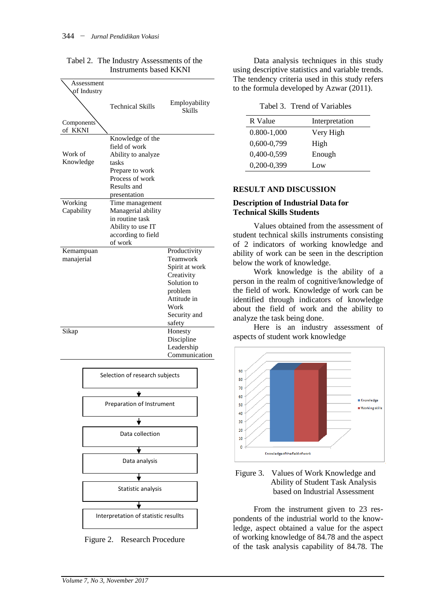|                         |                           | IIISU UIIIEIIUS DASEU INNINI                                                                                                          |                                                                                                                                     |
|-------------------------|---------------------------|---------------------------------------------------------------------------------------------------------------------------------------|-------------------------------------------------------------------------------------------------------------------------------------|
|                         | Assessment<br>of Industry | <b>Technical Skills</b>                                                                                                               | Employability<br>Skills                                                                                                             |
| Components<br>of KKNI   |                           |                                                                                                                                       |                                                                                                                                     |
| Work of<br>Knowledge    |                           | Knowledge of the<br>field of work<br>Ability to analyze<br>tasks<br>Prepare to work<br>Process of work<br>Results and<br>presentation |                                                                                                                                     |
| Working<br>Capability   |                           | Time management<br>Managerial ability<br>in routine task<br>Ability to use IT<br>according to field<br>of work                        |                                                                                                                                     |
| Kemampuan<br>manajerial |                           |                                                                                                                                       | Productivity<br>Teamwork<br>Spirit at work<br>Creativity<br>Solution to<br>problem<br>Attitude in<br>Work<br>Security and<br>safety |
| Sikap                   |                           |                                                                                                                                       | Honesty<br>Discipline<br>Leadership<br>Communication                                                                                |
|                         |                           | Selection of research subjects                                                                                                        |                                                                                                                                     |
|                         |                           |                                                                                                                                       |                                                                                                                                     |
|                         |                           | Preparation of Instrument                                                                                                             |                                                                                                                                     |
|                         |                           |                                                                                                                                       |                                                                                                                                     |
|                         |                           | Data collection                                                                                                                       |                                                                                                                                     |
|                         |                           |                                                                                                                                       |                                                                                                                                     |
|                         |                           | Data analysis                                                                                                                         |                                                                                                                                     |
|                         |                           |                                                                                                                                       |                                                                                                                                     |
|                         |                           | Statistic analysis                                                                                                                    |                                                                                                                                     |
|                         |                           |                                                                                                                                       |                                                                                                                                     |

Tabel 2. The Industry Assessments of the Instruments based KKNI

Figure 2. Research Procedure

Interpretation of statistic resullts

Data analysis techniques in this study using descriptive statistics and variable trends. The tendency criteria used in this study refers to the formula developed by Azwar (2011).

Tabel 3. Trend of Variables

| R Value         | Interpretation |
|-----------------|----------------|
| $0.800 - 1,000$ | Very High      |
| 0,600-0,799     | High           |
| 0,400-0,599     | Enough         |
| 0,200-0,399     | Low            |

## **RESULT AND DISCUSSION**

#### **Description of Industrial Data for Technical Skills Students**

Values obtained from the assessment of student technical skills instruments consisting of 2 indicators of working knowledge and ability of work can be seen in the description below the work of knowledge.

Work knowledge is the ability of a person in the realm of cognitive/knowledge of the field of work. Knowledge of work can be identified through indicators of knowledge about the field of work and the ability to analyze the task being done.

Here is an industry assessment of aspects of student work knowledge



#### Figure 3. Values of Work Knowledge and Ability of Student Task Analysis based on Industrial Assessment

From the instrument given to 23 respondents of the industrial world to the knowledge, aspect obtained a value for the aspect of working knowledge of 84.78 and the aspect of the task analysis capability of 84.78. The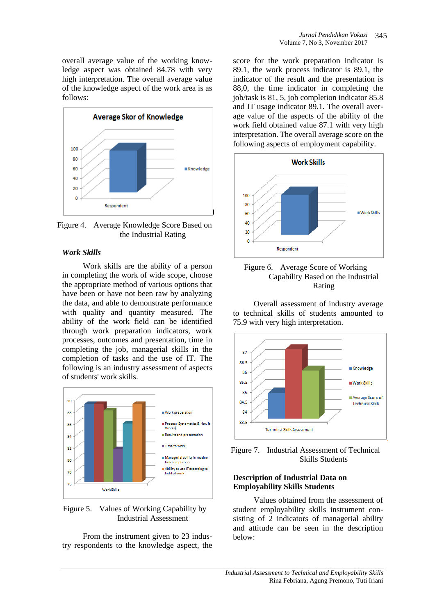overall average value of the working knowledge aspect was obtained 84.78 with very high interpretation. The overall average value of the knowledge aspect of the work area is as follows:



Figure 4. Average Knowledge Score Based on the Industrial Rating

## *Work Skills*

Work skills are the ability of a person in completing the work of wide scope, choose the appropriate method of various options that have been or have not been raw by analyzing the data, and able to demonstrate performance with quality and quantity measured. The ability of the work field can be identified through work preparation indicators, work processes, outcomes and presentation, time in completing the job, managerial skills in the completion of tasks and the use of IT. The following is an industry assessment of aspects of students' work skills.



Figure 5. Values of Working Capability by Industrial Assessment

From the instrument given to 23 industry respondents to the knowledge aspect, the

score for the work preparation indicator is 89.1, the work process indicator is 89.1, the indicator of the result and the presentation is 88,0, the time indicator in completing the job/task is 81, 5, job completion indicator 85.8 and IT usage indicator 89.1. The overall average value of the aspects of the ability of the work field obtained value 87.1 with very high interpretation. The overall average score on the following aspects of employment capability.





Overall assessment of industry average to technical skills of students amounted to 75.9 with very high interpretation.



Figure 7. Industrial Assessment of Technical Skills Students

### **Description of Industrial Data on Employability Skills Students**

Values obtained from the assessment of student employability skills instrument consisting of 2 indicators of managerial ability and attitude can be seen in the description below: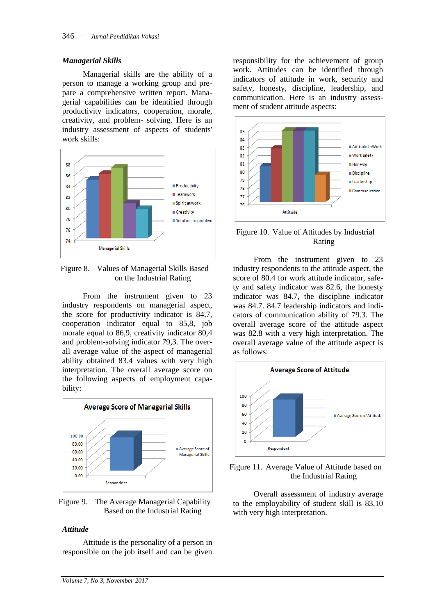#### *Managerial Skills*

Managerial skills are the ability of a person to manage a working group and prepare a comprehensive written report. Managerial capabilities can be identified through productivity indicators, cooperation, morale, creativity, and problem- solving. Here is an industry assessment of aspects of students' work skills:



Figure 8. Values of Managerial Skills Based on the Industrial Rating

From the instrument given to 23 industry respondents on managerial aspect, the score for productivity indicator is 84,7, cooperation indicator equal to 85,8, job morale equal to 86,9, creativity indicator 80,4 and problem-solving indicator 79,3. The overall average value of the aspect of managerial ability obtained 83.4 values with very high interpretation. The overall average score on the following aspects of employment capability:



Figure 9. The Average Managerial Capability Based on the Industrial Rating

#### *Attitude*

Attitude is the personality of a person in responsible on the job itself and can be given

responsibility for the achievement of group work. Attitudes can be identified through indicators of attitude in work, security and safety, honesty, discipline, leadership, and communication. Here is an industry assessment of student attitude aspects:



Figure 10. Value of Attitudes by Industrial Rating

From the instrument given to 23 industry respondents to the attitude aspect, the score of 80.4 for work attitude indicator, safety and safety indicator was 82.6, the honesty indicator was 84.7, the discipline indicator was 84.7. 84.7 leadership indicators and indicators of communication ability of 79.3. The overall average score of the attitude aspect was 82.8 with a very high interpretation. The overall average value of the attitude aspect is as follows:





Overall assessment of industry average to the employability of student skill is 83,10 with very high interpretation.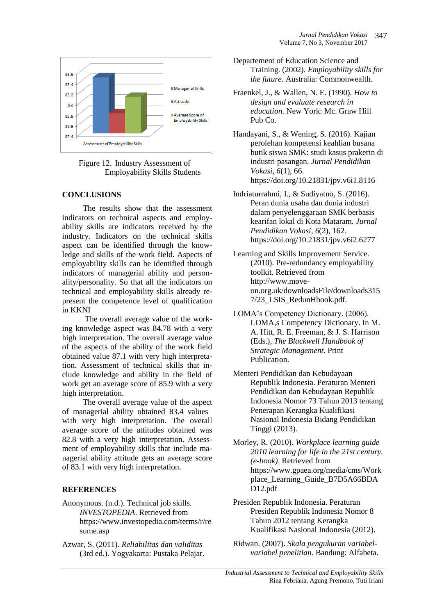

Figure 12. Industry Assessment of Employability Skills Students

## **CONCLUSIONS**

The results show that the assessment indicators on technical aspects and employability skills are indicators received by the industry. Indicators on the technical skills aspect can be identified through the knowledge and skills of the work field. Aspects of employability skills can be identified through indicators of managerial ability and personality/personality. So that all the indicators on technical and employability skills already represent the competence level of qualification in KKNI

The overall average value of the working knowledge aspect was 84.78 with a very high interpretation. The overall average value of the aspects of the ability of the work field obtained value 87.1 with very high interpretation. Assessment of technical skills that include knowledge and ability in the field of work get an average score of 85.9 with a very high interpretation.

The overall average value of the aspect of managerial ability obtained 83.4 values with very high interpretation. The overall average score of the attitudes obtained was 82.8 with a very high interpretation. Assessment of employability skills that include managerial ability attitude gets an average score of 83.1 with very high interpretation.

## **REFERENCES**

- Anonymous. (n.d.). Technical job skills. *INVESTOPEDIA*. Retrieved from https://www.investopedia.com/terms/r/re sume.asp
- Azwar, S. (2011). *Reliabilitas dan validitas* (3rd ed.). Yogyakarta: Pustaka Pelajar.
- Departement of Education Science and Training. (2002). *Employability skills for the future*. Australia: Commonwealth.
- Fraenkel, J., & Wallen, N. E. (1990). *How to design and evaluate research in education*. New York: Mc. Graw Hill Pub Co.
- Handayani, S., & Wening, S. (2016). Kajian perolehan kompetensi keahlian busana butik siswa SMK: studi kasus prakerin di industri pasangan. *Jurnal Pendidikan Vokasi*, *6*(1), 66. https://doi.org/10.21831/jpv.v6i1.8116
- Indriaturrahmi, I., & Sudiyatno, S. (2016). Peran dunia usaha dan dunia industri dalam penyelenggaraan SMK berbasis kearifan lokal di Kota Mataram. *Jurnal Pendidikan Vokasi*, *6*(2), 162. https://doi.org/10.21831/jpv.v6i2.6277
- Learning and Skills Improvement Service. (2010). Pre-redundancy employability toolkit. Retrieved from http://www.moveon.org.uk/downloadsFile/downloads315 7/23\_LSIS\_RedunHbook.pdf.
- LOMA's Competency Dictionary. (2006). LOMA,s Competency Dictionary. In M. A. Hitt, R. E. Freeman, & J. S. Harrison (Eds.), *The Blackwell Handbook of Strategic Management*. Print Publication.
- Menteri Pendidikan dan Kebudayaan Republik Indonesia. Peraturan Menteri Pendidikan dan Kebudayaan Republik Indonesia Nomor 73 Tahun 2013 tentang Penerapan Kerangka Kualifikasi Nasional Indonesia Bidang Pendidikan Tinggi (2013).
- Morley, R. (2010). *Workplace learning guide 2010 learning for life in the 21st century. (e-book)*. Retrieved from https://www.gpaea.org/media/cms/Work place\_Learning\_Guide\_B7D5A66BDA D12.pdf
- Presiden Republik Indonesia. Peraturan Presiden Republik Indonesia Nomor 8 Tahun 2012 tentang Kerangka Kualifikasi Nasional Indonesia (2012).
- Ridwan. (2007). *Skala pengukuran variabelvariabel penelitian*. Bandung: Alfabeta.